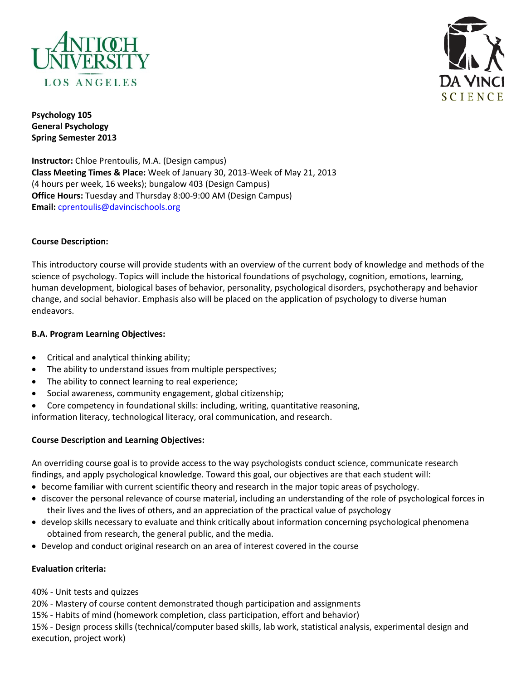



**Psychology 105 General Psychology Spring Semester 2013**

**Instructor:** Chloe Prentoulis, M.A. (Design campus) **Class Meeting Times & Place:** Week of January 30, 2013‐Week of May 21, 2013 (4 hours per week, 16 weeks); bungalow 403 (Design Campus) **Office Hours:** Tuesday and Thursday 8:00-9:00 AM (Design Campus) **Email:** cprentoulis@davincischools.org

## **Course Description:**

This introductory course will provide students with an overview of the current body of knowledge and methods of the science of psychology. Topics will include the historical foundations of psychology, cognition, emotions, learning, human development, biological bases of behavior, personality, psychological disorders, psychotherapy and behavior change, and social behavior. Emphasis also will be placed on the application of psychology to diverse human endeavors.

## **B.A. Program Learning Objectives:**

- Critical and analytical thinking ability;
- The ability to understand issues from multiple perspectives;
- The ability to connect learning to real experience;
- Social awareness, community engagement, global citizenship;
- Core competency in foundational skills: including, writing, quantitative reasoning,

information literacy, technological literacy, oral communication, and research.

# **Course Description and Learning Objectives:**

An overriding course goal is to provide access to the way psychologists conduct science, communicate research findings, and apply psychological knowledge. Toward this goal, our objectives are that each student will:

- become familiar with current scientific theory and research in the major topic areas of psychology.
- discover the personal relevance of course material, including an understanding of the role of psychological forces in their lives and the lives of others, and an appreciation of the practical value of psychology
- develop skills necessary to evaluate and think critically about information concerning psychological phenomena obtained from research, the general public, and the media.
- Develop and conduct original research on an area of interest covered in the course

#### **Evaluation criteria:**

40% - Unit tests and quizzes

20% - Mastery of course content demonstrated though participation and assignments

15% - Habits of mind (homework completion, class participation, effort and behavior)

15% - Design process skills (technical/computer based skills, lab work, statistical analysis, experimental design and execution, project work)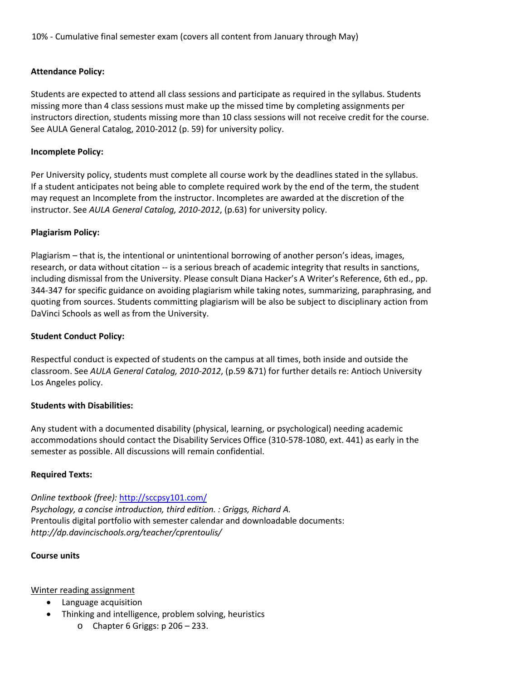10% - Cumulative final semester exam (covers all content from January through May)

## **Attendance Policy:**

Students are expected to attend all class sessions and participate as required in the syllabus. Students missing more than 4 class sessions must make up the missed time by completing assignments per instructors direction, students missing more than 10 class sessions will not receive credit for the course. See AULA General Catalog, 2010‐2012 (p. 59) for university policy.

### **Incomplete Policy:**

Per University policy, students must complete all course work by the deadlines stated in the syllabus. If a student anticipates not being able to complete required work by the end of the term, the student may request an Incomplete from the instructor. Incompletes are awarded at the discretion of the instructor. See *AULA General Catalog, 2010‐2012*, (p.63) for university policy.

## **Plagiarism Policy:**

Plagiarism – that is, the intentional or unintentional borrowing of another person's ideas, images, research, or data without citation ‐‐ is a serious breach of academic integrity that results in sanctions, including dismissal from the University. Please consult Diana Hacker's A Writer's Reference, 6th ed., pp. 344‐347 for specific guidance on avoiding plagiarism while taking notes, summarizing, paraphrasing, and quoting from sources. Students committing plagiarism will be also be subject to disciplinary action from DaVinci Schools as well as from the University.

### **Student Conduct Policy:**

Respectful conduct is expected of students on the campus at all times, both inside and outside the classroom. See *AULA General Catalog, 2010‐2012*, (p.59 &71) for further details re: Antioch University Los Angeles policy.

#### **Students with Disabilities:**

Any student with a documented disability (physical, learning, or psychological) needing academic accommodations should contact the Disability Services Office (310‐578‐1080, ext. 441) as early in the semester as possible. All discussions will remain confidential.

#### **Required Texts:**

*Online textbook (free):* <http://sccpsy101.com/>

*Psychology, a concise introduction, third edition. : Griggs, Richard A.* Prentoulis digital portfolio with semester calendar and downloadable documents: *http://dp.davincischools.org/teacher/cprentoulis/*

#### **Course units**

#### Winter reading assignment

- Language acquisition
- Thinking and intelligence, problem solving, heuristics
	- $\circ$  Chapter 6 Griggs: p 206 233.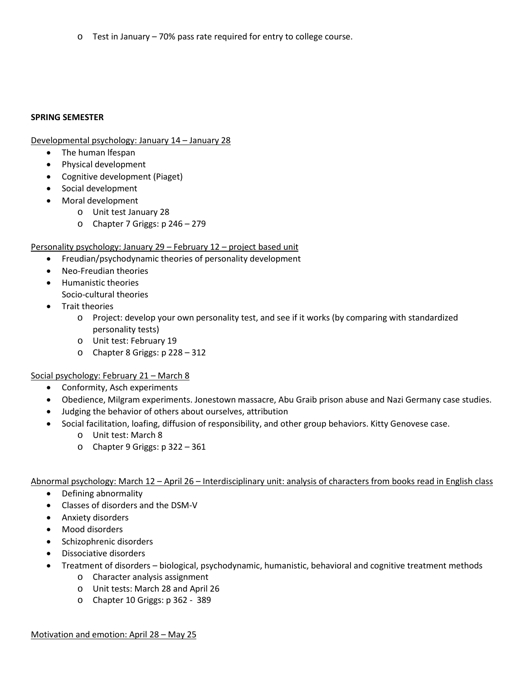o Test in January – 70% pass rate required for entry to college course.

### **SPRING SEMESTER**

Developmental psychology: January 14 – January 28

- The human lfespan
- Physical development
- Cognitive development (Piaget)
- Social development
- Moral development
	- o Unit test January 28
	- o Chapter 7 Griggs: p 246 279

#### Personality psychology: January 29 – February 12 – project based unit

- Freudian/psychodynamic theories of personality development
- Neo-Freudian theories
- Humanistic theories
	- Socio-cultural theories
- Trait theories
	- o Project: develop your own personality test, and see if it works (by comparing with standardized personality tests)
	- o Unit test: February 19
	- o Chapter 8 Griggs: p 228 312

#### Social psychology: February 21 – March 8

- Conformity, Asch experiments
- Obedience, Milgram experiments. Jonestown massacre, Abu Graib prison abuse and Nazi Germany case studies.
- Judging the behavior of others about ourselves, attribution
- Social facilitation, loafing, diffusion of responsibility, and other group behaviors. Kitty Genovese case.
	- o Unit test: March 8
	- o Chapter 9 Griggs: p 322 361

Abnormal psychology: March 12 – April 26 – Interdisciplinary unit: analysis of characters from books read in English class

- Defining abnormality
- Classes of disorders and the DSM-V
- Anxiety disorders
- Mood disorders
- Schizophrenic disorders
- Dissociative disorders
- Treatment of disorders biological, psychodynamic, humanistic, behavioral and cognitive treatment methods
	- o Character analysis assignment
	- o Unit tests: March 28 and April 26
	- o Chapter 10 Griggs: p 362 389

Motivation and emotion: April 28 – May 25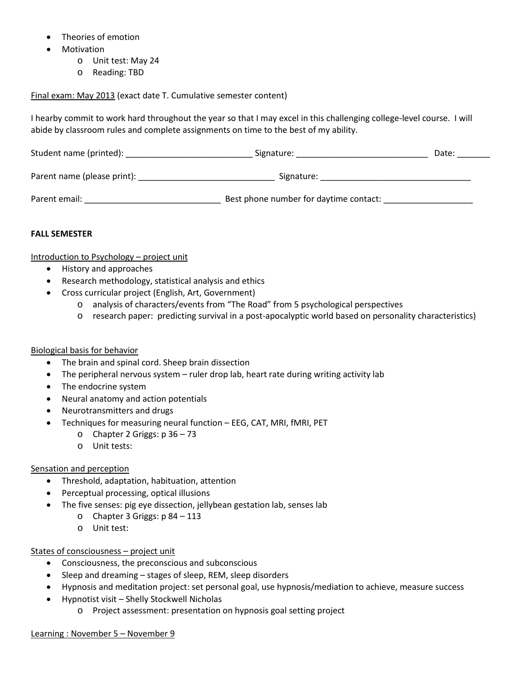- Theories of emotion
- Motivation
	- o Unit test: May 24
	- o Reading: TBD

Final exam: May 2013 (exact date T. Cumulative semester content)

I hearby commit to work hard throughout the year so that I may excel in this challenging college-level course. I will abide by classroom rules and complete assignments on time to the best of my ability.

| Student name (printed):     | Signature:                             | Date: |
|-----------------------------|----------------------------------------|-------|
| Parent name (please print): | Signature:                             |       |
| Parent email:               | Best phone number for daytime contact: |       |

#### **FALL SEMESTER**

Introduction to Psychology – project unit

- History and approaches
- Research methodology, statistical analysis and ethics
- Cross curricular project (English, Art, Government)
	- o analysis of characters/events from "The Road" from 5 psychological perspectives
	- o research paper: predicting survival in a post-apocalyptic world based on personality characteristics)

#### Biological basis for behavior

- The brain and spinal cord. Sheep brain dissection
- The peripheral nervous system ruler drop lab, heart rate during writing activity lab
- The endocrine system
- Neural anatomy and action potentials
- Neurotransmitters and drugs
	- Techniques for measuring neural function EEG, CAT, MRI, fMRI, PET
		- o Chapter 2 Griggs: p 36 73
		- o Unit tests:

#### Sensation and perception

- Threshold, adaptation, habituation, attention
- Perceptual processing, optical illusions
- The five senses: pig eye dissection, jellybean gestation lab, senses lab
	- $\circ$  Chapter 3 Griggs: p 84 113
	- o Unit test:

#### States of consciousness – project unit

- Consciousness, the preconscious and subconscious
- Sleep and dreaming stages of sleep, REM, sleep disorders
- Hypnosis and meditation project: set personal goal, use hypnosis/mediation to achieve, measure success
- Hypnotist visit Shelly Stockwell Nicholas
	- o Project assessment: presentation on hypnosis goal setting project

#### Learning : November 5 – November 9